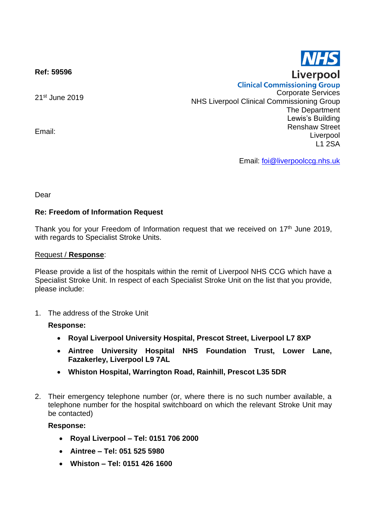**Ref: 59596**

21st June 2019

Email:

**Clinical Commissioning Group** Corporate Services NHS Liverpool Clinical Commissioning Group The Department Lewis's Building Renshaw Street Liverpool L1 2SA

Email: [foi@liverpoolccg.nhs.uk](mailto:foi@liverpoolccg.nhs.uk)

Dear

# **Re: Freedom of Information Request**

Thank you for your Freedom of Information request that we received on  $17<sup>th</sup>$  June 2019, with regards to Specialist Stroke Units.

#### Request / **Response**:

Please provide a list of the hospitals within the remit of Liverpool NHS CCG which have a Specialist Stroke Unit. In respect of each Specialist Stroke Unit on the list that you provide, please include:

1. The address of the Stroke Unit

### **Response:**

- **Royal Liverpool University Hospital, Prescot Street, Liverpool L7 8XP**
- **Aintree University Hospital NHS Foundation Trust, Lower Lane, Fazakerley, Liverpool L9 7AL**
- **Whiston Hospital, Warrington Road, Rainhill, Prescot L35 5DR**
- 2. Their emergency telephone number (or, where there is no such number available, a telephone number for the hospital switchboard on which the relevant Stroke Unit may be contacted)

### **Response:**

- **Royal Liverpool – Tel: 0151 706 2000**
- **Aintree – Tel: 051 525 5980**
- **Whiston – Tel: 0151 426 1600**